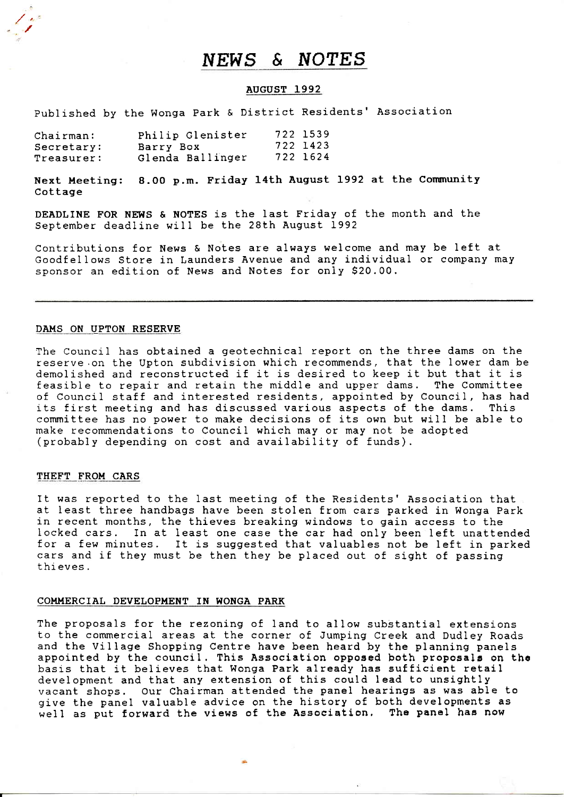# NEWS & NOTES

# AUGUST 1992

published by the Wonga Park & District Residents' Association

| Chain:     | Philip Glenister | 722 1539 |
|------------|------------------|----------|
| Secretary: | Barry Box        | 722 1423 |
| Treasurer: | Glenda Ballinger | 722 1624 |

Next Meeting: 8.00 p.m. Friday 14th August 1992 at the Community Cottage

DEADLINE FOR NEWS & NOTES is the last Friday of the month and the September deadline will be the 28th August 1992

Contributions for News & Notes are always welcome and may be left at Goodfellows Store in Launders Avenue and any individual or company may sponsor an edition of News and Notes for only S20.00.

#### DAMS ON UPTON RESERVE

/

The Council has obtained a geotechnical report on the three dams on the reserve.on the Upton subdivision which recommends, that the Iower dam be demolished and reconstructed if it is desired to keep it but that it is feasible to repair and retain the middle and upper dams. The Committee feasible to repair and retain the middle and upper dams. of Council staff and interested residents, appointed by CounciI, has had its first meeting and has discussed various aspects of the dams. This committee has no power to make decisions of its own but will be able to make recommendations to Council which may or may not be adopted (probably depending on cost and availability of funds).

#### THEFT FROM CARS

It was reported to the last meeting of the Residents'Association that at Ieast three handbags have been stolen from cars parked in Wonga Park in recent months, the thieves breaking windows to gain access to the locked cars. In at least one case the car had only been left unattended for a few minutes. It is suggested that valuables not be Ieft in parked cars and if they must be then they be placed out of sight of passing thi eves .

### COMMERCIAL DEVELOPMENT IN WONGA PARK

The proposals for the rezoning of Iand to aIIow substantial extensions to the commercial areas at the corner of Jumping Creek and Dudley Roads and the Village Shopping Centre have been heard by the planning panels appointed by the council. This Association opposed both proposals on the basis that it believes that Wonga Park already has sufficient retall development and that any extension of this could Iead to unsightly vacant shops. Our Chairman attended the panel hearings as was able to give the panel valuable advice on the history of both developments as well as put forward the views of the Association. The panel has now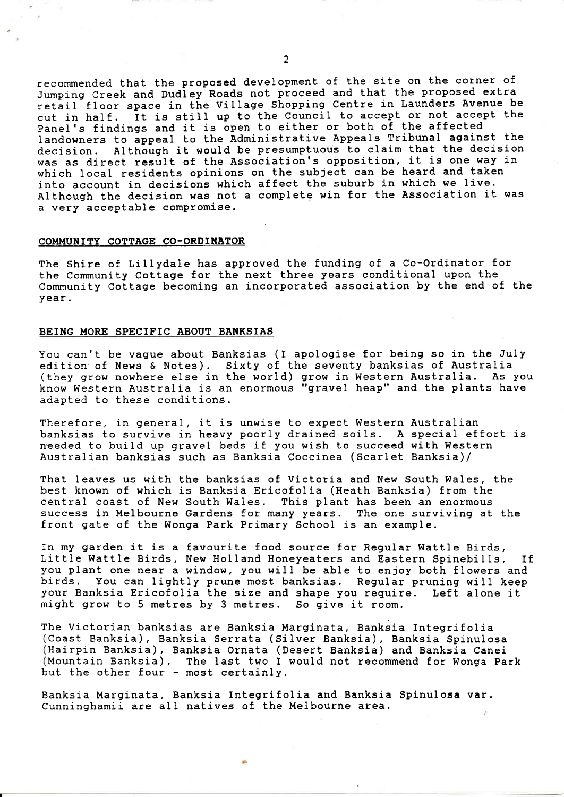recommended that the proposed development of the site on the corner of Jumping Creek and DudIey Roads not proceed and that the proposed extra retail floor space in the Village Shopping Centre in Launders Avenue be cut in half. it is still up to the Council to accept or not accept the panel's findings and it is open to either or both of the affected landowners to appeal to the Administrative Appeals Tribunal against the<br>decision. Although it would be presumptuous to claim that the decision Although it would be presumptuous to claim that the decision was as direct result of the Association's opposition, it is one way in which Iocal residents opinions on the subject can be heard and taken into account in decisions which affect the suburb in which we live. Although the decision was not a complete win for the Association it was a very acceptable compromise.

#### COMMUNITY COTTAGE CO-ORDINATOR

The Shire of Lillydale has approved the funding of a Co-Ordinator for the Community Cottage for the next three years conditional upon the Community Cottage becoming an incorporated association by the end of the year.

#### BEING MORE SPECIFIC ABOUT BANKSIAS

You can't be vague about Banksias (I apologise for being so in the July edition'of News & Notes). Sixty of the seventy banksias of Australia (they grow nowhere else in the world) grow in Western Australia. As you know Western Australia is an enormous "gravel heap" and the pIants have adapted to these conditions.

Therefore, in general, it is unwise to expect Western Australian banksias to survive in heavy poorly drained soiIs. A special effort is needed to build up gravel beds if you wish to succeed with Western Australian banksias such as Banksia Coccinea (ScarIet Banksia)/

That leaves us with the banksias of Victoria and New South Wales, the best known of which is Banksia Ericofolia (Heath Banksia) from the central coast of New South Wales. This plant has been an enormous success in Melbourne Gardens for many years. The one surviving at the front gate of the Wonga Park Primary School is an example.

In my garden it is a favourite food source for Regular Wattle Birds,<br>Little Wattle Birds, New Holland Honeyeaters and Eastern Spinebills. If you plant one near a window, you wiII be able to enjoy both flowers and birds. You can Iightly prune most banksias. Regular pruning will keep your Banksia Ericofolia the size and shape you require. Left alone it might grow to 5 metres by 3 metres. So give it room.

The Victorian banksias are Banksia Marginata, Banksia Integrifoli (Coast Banksia), Banksia Serrata (Silver Banksia), Banksia Spinulosa<br>(Hairpin Banksia), Banksia Ornata (Desert Banksia) and Banksia Canei (Mountain Banksia). The last two I would not recommend for Wonga Park hut the other four - most certainly

Banksia Marginata, Banksia Integrifolia and Banksia Spinulosa var. Cunninghamii are aII natives of the Melbourne area,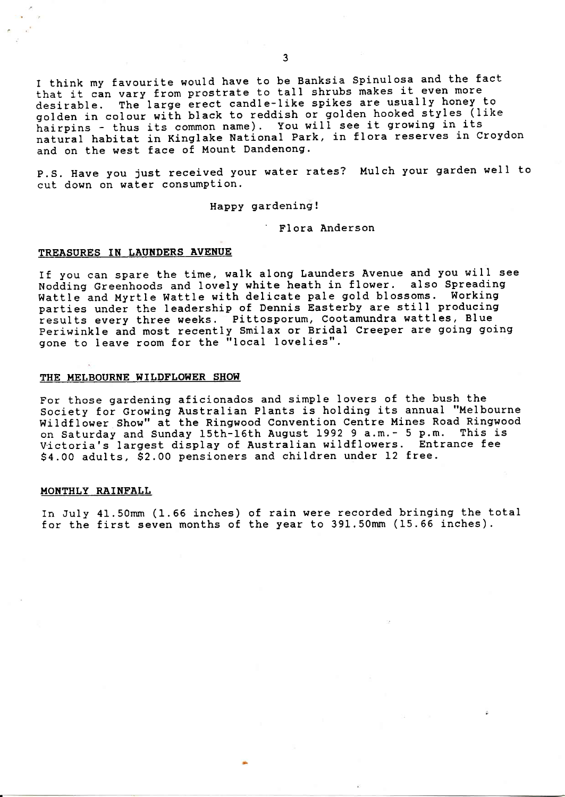I think my favourite would have to be Banksia Spinulosa and the fact that it can vary from prostrate to talI shrubs makes it even more desirable. The large erect candle-like spikes are usually honey to golden in colour with black to reddish or golden hooked styles (like hairpins - thus its common name). You will see it growing in its natural habitat in Kinglake National Park, in flora reserves in Croydon and on the west face of Mount Dandenong.

p.S. Have you just received your water rates? Mulch your garden welI to cut down on water consumption.

Happy gardening.

' FIora Anderson

# TREASURES IN LAUNDERS AVENUE

If you can spare the time, walk along Launders Avenue and you will see wodding Greenhoods and Iovely white heath in flower. also Spreading Wattle and Myrtle WattIe with delicate pale gold blossoms. Working parties under the leadership of Dennis Easterby are still producing results every three weeks. Pittosporum, Cootamundra wattles, Blue periwinkle and most recently Smilax or Bridal Creeper are going going gone to Ieave room for the "Iocal lovelies".

#### THE MELBOURNE WILDFLOWER SHOW

For those gardening aficionados and simple Iovers of the bush the Society for Growing Australian Plants is holding its annual "Melbourne Wildflower Show" at the Ringwood Convention Centre Mines Road Ringwood on Saturday and Sunday 15th-15th August L992 9 a.m.- 5 P.m. This is Victoria's largest display of Australian wildflowers. Entrance fee 54.OO adults, S2.00 pensioners and children under L2 free.

#### MONTHLY RAINFALL

In July 41.50mm (1.56 inches) of rain were recorded bringing the total for the first seven months of the year to  $391.50$ mm (15.66 inches).